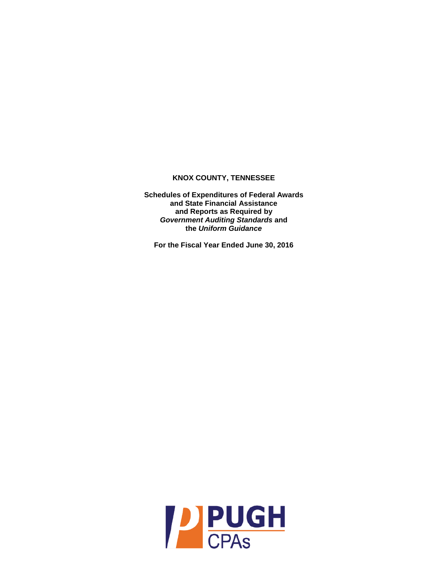**Schedules of Expenditures of Federal Awards and State Financial Assistance and Reports as Required by**  *Government Auditing Standards* **and the** *Uniform Guidance*

**For the Fiscal Year Ended June 30, 2016**

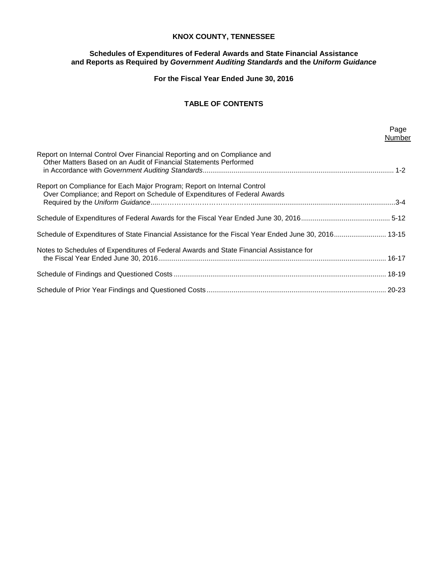# **Schedules of Expenditures of Federal Awards and State Financial Assistance and Reports as Required by** *Government Auditing Standards* **and the** *Uniform Guidance*

**For the Fiscal Year Ended June 30, 2016**

# **TABLE OF CONTENTS**

|                                                                                                                                                      | Page<br>Number |
|------------------------------------------------------------------------------------------------------------------------------------------------------|----------------|
| Report on Internal Control Over Financial Reporting and on Compliance and<br>Other Matters Based on an Audit of Financial Statements Performed       |                |
| Report on Compliance for Each Major Program; Report on Internal Control<br>Over Compliance; and Report on Schedule of Expenditures of Federal Awards |                |
|                                                                                                                                                      |                |
| Schedule of Expenditures of State Financial Assistance for the Fiscal Year Ended June 30, 2016 13-15                                                 |                |
| Notes to Schedules of Expenditures of Federal Awards and State Financial Assistance for                                                              |                |
|                                                                                                                                                      |                |
|                                                                                                                                                      |                |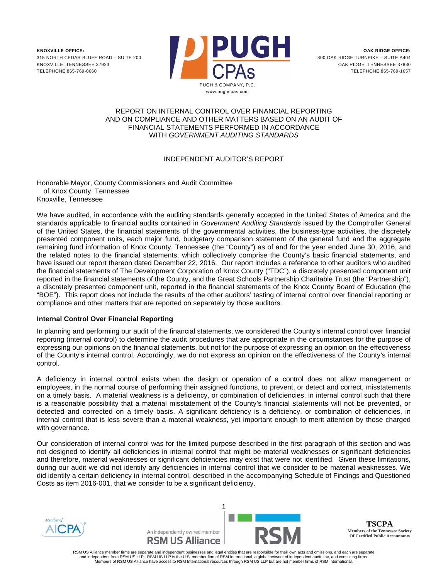

## REPORT ON INTERNAL CONTROL OVER FINANCIAL REPORTING AND ON COMPLIANCE AND OTHER MATTERS BASED ON AN AUDIT OF FINANCIAL STATEMENTS PERFORMED IN ACCORDANCE WITH *GOVERNMENT AUDITING STANDARDS*

# INDEPENDENT AUDITOR'S REPORT

Honorable Mayor, County Commissioners and Audit Committee of Knox County, Tennessee Knoxville, Tennessee

We have audited, in accordance with the auditing standards generally accepted in the United States of America and the standards applicable to financial audits contained in *Government Auditing Standards* issued by the Comptroller General of the United States, the financial statements of the governmental activities, the business-type activities, the discretely presented component units, each major fund, budgetary comparison statement of the general fund and the aggregate remaining fund information of Knox County, Tennessee (the "County") as of and for the year ended June 30, 2016, and the related notes to the financial statements, which collectively comprise the County's basic financial statements, and have issued our report thereon dated December 22, 2016. Our report includes a reference to other auditors who audited the financial statements of The Development Corporation of Knox County ("TDC"), a discretely presented component unit reported in the financial statements of the County, and the Great Schools Partnership Charitable Trust (the "Partnership"), a discretely presented component unit, reported in the financial statements of the Knox County Board of Education (the "BOE"). This report does not include the results of the other auditors' testing of internal control over financial reporting or compliance and other matters that are reported on separately by those auditors.

# **Internal Control Over Financial Reporting**

In planning and performing our audit of the financial statements, we considered the County's internal control over financial reporting (internal control) to determine the audit procedures that are appropriate in the circumstances for the purpose of expressing our opinions on the financial statements, but not for the purpose of expressing an opinion on the effectiveness of the County's internal control. Accordingly, we do not express an opinion on the effectiveness of the County's internal control.

A deficiency in internal control exists when the design or operation of a control does not allow management or employees, in the normal course of performing their assigned functions, to prevent, or detect and correct, misstatements on a timely basis. A material weakness is a deficiency, or combination of deficiencies, in internal control such that there is a reasonable possibility that a material misstatement of the County's financial statements will not be prevented, or detected and corrected on a timely basis. A significant deficiency is a deficiency, or combination of deficiencies, in internal control that is less severe than a material weakness, yet important enough to merit attention by those charged with governance.

Our consideration of internal control was for the limited purpose described in the first paragraph of this section and was not designed to identify all deficiencies in internal control that might be material weaknesses or significant deficiencies and therefore, material weaknesses or significant deficiencies may exist that were not identified. Given these limitations, during our audit we did not identify any deficiencies in internal control that we consider to be material weaknesses. We did identify a certain deficiency in internal control, described in the accompanying Schedule of Findings and Questioned Costs as item 2016-001, that we consider to be a significant deficiency.





**TSCPA Members of the Tennessee Society Of Certified Public Accountants**

RSM US Alliance member firms are separate and independent businesses and legal entities that are responsible for their own acts and omissions, and each are separate and independent from RSM US LLP. RSM US LLP is the U.S. member firm of RSM International, a global network of independent audit, tax, and consulting firms. Members of RSM US Alliance have access to RSM International resources through RSM US LLP but are not member firms of RSM International.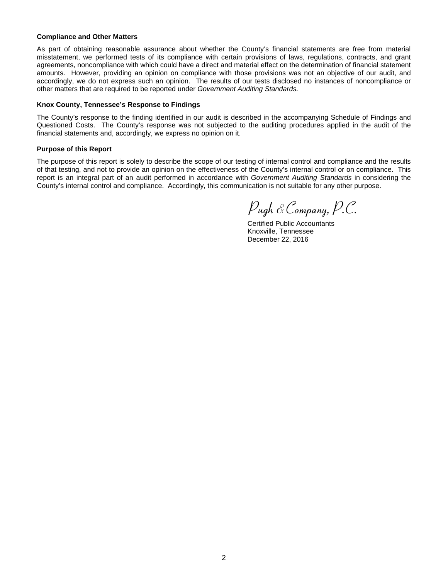### **Compliance and Other Matters**

As part of obtaining reasonable assurance about whether the County's financial statements are free from material misstatement, we performed tests of its compliance with certain provisions of laws, regulations, contracts, and grant agreements, noncompliance with which could have a direct and material effect on the determination of financial statement amounts. However, providing an opinion on compliance with those provisions was not an objective of our audit, and accordingly, we do not express such an opinion. The results of our tests disclosed no instances of noncompliance or other matters that are required to be reported under *Government Auditing Standards.*

## **Knox County, Tennessee's Response to Findings**

The County's response to the finding identified in our audit is described in the accompanying Schedule of Findings and Questioned Costs. The County's response was not subjected to the auditing procedures applied in the audit of the financial statements and, accordingly, we express no opinion on it.

## **Purpose of this Report**

The purpose of this report is solely to describe the scope of our testing of internal control and compliance and the results of that testing, and not to provide an opinion on the effectiveness of the County's internal control or on compliance. This report is an integral part of an audit performed in accordance with *Government Auditing Standards* in considering the County's internal control and compliance. Accordingly, this communication is not suitable for any other purpose.

Pugh &Company, P.C.

Certified Public Accountants Knoxville, Tennessee December 22, 2016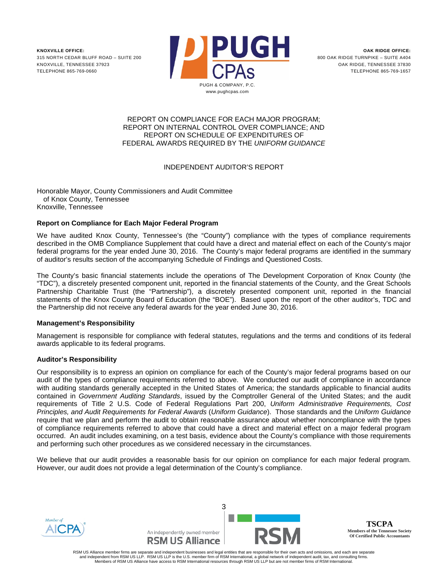

## REPORT ON COMPLIANCE FOR EACH MAJOR PROGRAM; REPORT ON INTERNAL CONTROL OVER COMPLIANCE; AND REPORT ON SCHEDULE OF EXPENDITURES OF FEDERAL AWARDS REQUIRED BY THE *UNIFORM GUIDANCE*

# INDEPENDENT AUDITOR'S REPORT

Honorable Mayor, County Commissioners and Audit Committee of Knox County, Tennessee Knoxville, Tennessee

# **Report on Compliance for Each Major Federal Program**

We have audited Knox County, Tennessee's (the "County") compliance with the types of compliance requirements described in the OMB Compliance Supplement that could have a direct and material effect on each of the County's major federal programs for the year ended June 30, 2016. The County's major federal programs are identified in the summary of auditor's results section of the accompanying Schedule of Findings and Questioned Costs.

The County's basic financial statements include the operations of The Development Corporation of Knox County (the "TDC"), a discretely presented component unit, reported in the financial statements of the County, and the Great Schools Partnership Charitable Trust (the "Partnership"), a discretely presented component unit, reported in the financial statements of the Knox County Board of Education (the "BOE"). Based upon the report of the other auditor's, TDC and the Partnership did not receive any federal awards for the year ended June 30, 2016.

# **Management's Responsibility**

Management is responsible for compliance with federal statutes, regulations and the terms and conditions of its federal awards applicable to its federal programs.

# **Auditor's Responsibility**

Our responsibility is to express an opinion on compliance for each of the County's major federal programs based on our audit of the types of compliance requirements referred to above. We conducted our audit of compliance in accordance with auditing standards generally accepted in the United States of America; the standards applicable to financial audits contained in *Government Auditing Standards*, issued by the Comptroller General of the United States; and the audit requirements of Title 2 U.S. Code of Federal Regulations Part 200, *Uniform Administrative Requirements, Cost Principles, and Audit Requirements for Federal Awards* (*Uniform Guidance*). Those standards and the *Uniform Guidance* require that we plan and perform the audit to obtain reasonable assurance about whether noncompliance with the types of compliance requirements referred to above that could have a direct and material effect on a major federal program occurred. An audit includes examining, on a test basis, evidence about the County's compliance with those requirements and performing such other procedures as we considered necessary in the circumstances.

We believe that our audit provides a reasonable basis for our opinion on compliance for each major federal program. However, our audit does not provide a legal determination of the County's compliance.





**TSCPA Members of the Tennessee Society Of Certified Public Accountants**

RSM US Alliance member firms are separate and independent businesses and legal entities that are responsible for their own acts and omissions, and each are separate<br>and independent from RSM US LLP. RSM US LLP is the U.S. m Members of RSM US Alliance have access to RSM International resources through RSM US LLP but are not member firms of RSM International.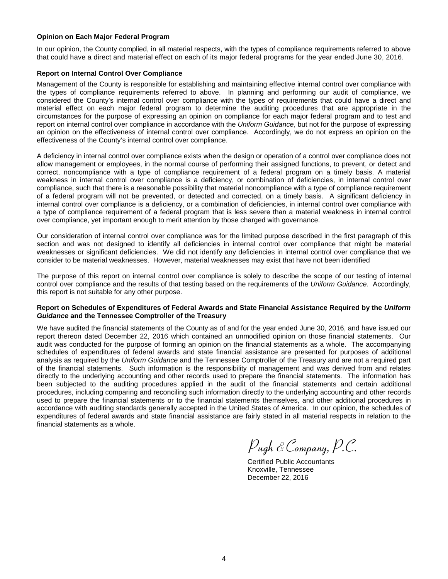## **Opinion on Each Major Federal Program**

In our opinion, the County complied, in all material respects, with the types of compliance requirements referred to above that could have a direct and material effect on each of its major federal programs for the year ended June 30, 2016.

## **Report on Internal Control Over Compliance**

Management of the County is responsible for establishing and maintaining effective internal control over compliance with the types of compliance requirements referred to above. In planning and performing our audit of compliance, we considered the County's internal control over compliance with the types of requirements that could have a direct and material effect on each major federal program to determine the auditing procedures that are appropriate in the circumstances for the purpose of expressing an opinion on compliance for each major federal program and to test and report on internal control over compliance in accordance with the *Uniform Guidance*, but not for the purpose of expressing an opinion on the effectiveness of internal control over compliance. Accordingly, we do not express an opinion on the effectiveness of the County's internal control over compliance.

A deficiency in internal control over compliance exists when the design or operation of a control over compliance does not allow management or employees, in the normal course of performing their assigned functions, to prevent, or detect and correct, noncompliance with a type of compliance requirement of a federal program on a timely basis. A material weakness in internal control over compliance is a deficiency, or combination of deficiencies, in internal control over compliance, such that there is a reasonable possibility that material noncompliance with a type of compliance requirement of a federal program will not be prevented, or detected and corrected, on a timely basis. A significant deficiency in internal control over compliance is a deficiency, or a combination of deficiencies, in internal control over compliance with a type of compliance requirement of a federal program that is less severe than a material weakness in internal control over compliance, yet important enough to merit attention by those charged with governance.

Our consideration of internal control over compliance was for the limited purpose described in the first paragraph of this section and was not designed to identify all deficiencies in internal control over compliance that might be material weaknesses or significant deficiencies. We did not identify any deficiencies in internal control over compliance that we consider to be material weaknesses. However, material weaknesses may exist that have not been identified

The purpose of this report on internal control over compliance is solely to describe the scope of our testing of internal control over compliance and the results of that testing based on the requirements of the *Uniform Guidance*. Accordingly, this report is not suitable for any other purpose.

## **Report on Schedules of Expenditures of Federal Awards and State Financial Assistance Required by the** *Uniform Guidance* **and the Tennessee Comptroller of the Treasury**

We have audited the financial statements of the County as of and for the year ended June 30, 2016, and have issued our report thereon dated December 22, 2016 which contained an unmodified opinion on those financial statements. Our audit was conducted for the purpose of forming an opinion on the financial statements as a whole. The accompanying schedules of expenditures of federal awards and state financial assistance are presented for purposes of additional analysis as required by the *Uniform Guidance* and the Tennessee Comptroller of the Treasury and are not a required part of the financial statements. Such information is the responsibility of management and was derived from and relates directly to the underlying accounting and other records used to prepare the financial statements. The information has been subjected to the auditing procedures applied in the audit of the financial statements and certain additional procedures, including comparing and reconciling such information directly to the underlying accounting and other records used to prepare the financial statements or to the financial statements themselves, and other additional procedures in accordance with auditing standards generally accepted in the United States of America. In our opinion, the schedules of expenditures of federal awards and state financial assistance are fairly stated in all material respects in relation to the financial statements as a whole.

Pugh &Company, P.C.

Certified Public Accountants Knoxville, Tennessee December 22, 2016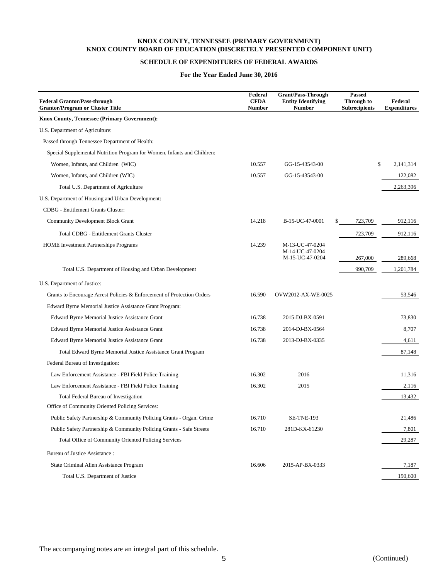# **SCHEDULE OF EXPENDITURES OF FEDERAL AWARDS**

## **For the Year Ended June 30, 2016**

| <b>Federal Grantor/Pass-through</b><br><b>Grantor/Program or Cluster Title</b> | Federal<br><b>CFDA</b><br><b>Number</b> | <b>Grant/Pass-Through</b><br><b>Entity Identifying</b><br><b>Number</b> | <b>Passed</b><br>Through to<br><b>Subrecipients</b> | Federal<br><b>Expenditures</b> |
|--------------------------------------------------------------------------------|-----------------------------------------|-------------------------------------------------------------------------|-----------------------------------------------------|--------------------------------|
| Knox County, Tennessee (Primary Government):                                   |                                         |                                                                         |                                                     |                                |
| U.S. Department of Agriculture:                                                |                                         |                                                                         |                                                     |                                |
| Passed through Tennessee Department of Health:                                 |                                         |                                                                         |                                                     |                                |
| Special Supplemental Nutrition Program for Women, Infants and Children:        |                                         |                                                                         |                                                     |                                |
| Women, Infants, and Children (WIC)                                             | 10.557                                  | GG-15-43543-00                                                          | \$                                                  | 2,141,314                      |
| Women, Infants, and Children (WIC)                                             | 10.557                                  | GG-15-43543-00                                                          |                                                     | 122,082                        |
| Total U.S. Department of Agriculture                                           |                                         |                                                                         |                                                     | 2,263,396                      |
| U.S. Department of Housing and Urban Development:                              |                                         |                                                                         |                                                     |                                |
| CDBG - Entitlement Grants Cluster:                                             |                                         |                                                                         |                                                     |                                |
| <b>Community Development Block Grant</b>                                       | 14.218                                  | B-15-UC-47-0001                                                         | 723,709<br>\$                                       | 912,116                        |
| <b>Total CDBG - Entitlement Grants Cluster</b>                                 |                                         |                                                                         | 723,709                                             | 912,116                        |
| <b>HOME</b> Investment Partnerships Programs                                   | 14.239                                  | M-13-UC-47-0204<br>M-14-UC-47-0204                                      |                                                     |                                |
|                                                                                |                                         | M-15-UC-47-0204                                                         | 267,000                                             | 289,668                        |
| Total U.S. Department of Housing and Urban Development                         |                                         |                                                                         | 990,709                                             | 1,201,784                      |
| U.S. Department of Justice:                                                    |                                         |                                                                         |                                                     |                                |
| Grants to Encourage Arrest Policies & Enforcement of Protection Orders         | 16.590                                  | OVW2012-AX-WE-0025                                                      |                                                     | 53,546                         |
| Edward Byrne Memorial Justice Assistance Grant Program:                        |                                         |                                                                         |                                                     |                                |
| Edward Byrne Memorial Justice Assistance Grant                                 | 16.738                                  | 2015-DJ-BX-0591                                                         |                                                     | 73,830                         |
| <b>Edward Byrne Memorial Justice Assistance Grant</b>                          | 16.738                                  | 2014-DJ-BX-0564                                                         |                                                     | 8,707                          |
| <b>Edward Byrne Memorial Justice Assistance Grant</b>                          | 16.738                                  | 2013-DJ-BX-0335                                                         |                                                     | 4,611                          |
| Total Edward Byrne Memorial Justice Assistance Grant Program                   |                                         |                                                                         |                                                     | 87,148                         |
| Federal Bureau of Investigation:                                               |                                         |                                                                         |                                                     |                                |
| Law Enforcement Assistance - FBI Field Police Training                         | 16.302                                  | 2016                                                                    |                                                     | 11,316                         |
| Law Enforcement Assistance - FBI Field Police Training                         | 16.302                                  | 2015                                                                    |                                                     | 2,116                          |
| Total Federal Bureau of Investigation                                          |                                         |                                                                         |                                                     | 13,432                         |
| Office of Community Oriented Policing Services:                                |                                         |                                                                         |                                                     |                                |
| Public Safety Partnership & Community Policing Grants - Organ. Crime           | 16.710                                  | <b>SE-TNE-193</b>                                                       |                                                     | 21,486                         |
| Public Safety Partnership & Community Policing Grants - Safe Streets           | 16.710                                  | 281D-KX-61230                                                           |                                                     | 7,801                          |
| Total Office of Community Oriented Policing Services                           |                                         |                                                                         |                                                     | 29,287                         |
| Bureau of Justice Assistance:                                                  |                                         |                                                                         |                                                     |                                |
| State Criminal Alien Assistance Program                                        | 16.606                                  | 2015-AP-BX-0333                                                         |                                                     | 7,187                          |
| Total U.S. Department of Justice                                               |                                         |                                                                         |                                                     | 190,600                        |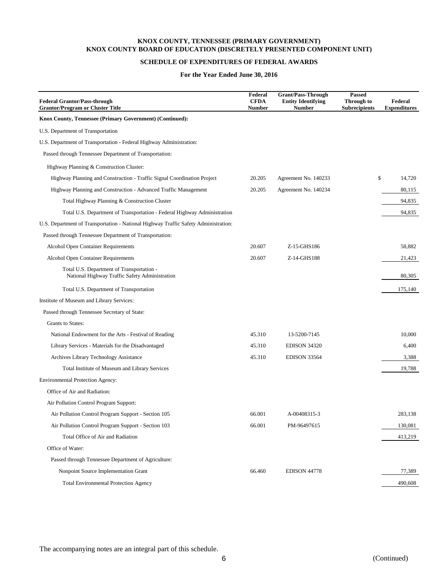## **SCHEDULE OF EXPENDITURES OF FEDERAL AWARDS**

### **For the Year Ended June 30, 2016**

| <b>Federal Grantor/Pass-through</b><br><b>Grantor/Program or Cluster Title</b>              | Federal<br><b>CFDA</b><br><b>Number</b> | <b>Grant/Pass-Through</b><br><b>Entity Identifying</b><br>Number | Passed<br>Through to<br><b>Subrecipients</b> | Federal<br><b>Expenditures</b> |
|---------------------------------------------------------------------------------------------|-----------------------------------------|------------------------------------------------------------------|----------------------------------------------|--------------------------------|
| Knox County, Tennessee (Primary Government) (Continued):                                    |                                         |                                                                  |                                              |                                |
| U.S. Department of Transportation                                                           |                                         |                                                                  |                                              |                                |
| U.S. Department of Transportation - Federal Highway Administration:                         |                                         |                                                                  |                                              |                                |
| Passed through Tennessee Department of Transportation:                                      |                                         |                                                                  |                                              |                                |
| Highway Planning & Construction Cluster:                                                    |                                         |                                                                  |                                              |                                |
| Highway Planning and Construction - Traffic Signal Coordination Project                     | 20.205                                  | Agreement No. 140233                                             | \$                                           | 14,720                         |
| Highway Planning and Construction - Advanced Traffic Management                             | 20.205                                  | Agreement No. 140234                                             |                                              | 80,115                         |
| Total Highway Planning & Construction Cluster                                               |                                         |                                                                  |                                              | 94,835                         |
| Total U.S. Department of Transportation - Federal Highway Administration                    |                                         |                                                                  |                                              | 94,835                         |
| U.S. Department of Transportation - National Highway Traffic Safety Administration:         |                                         |                                                                  |                                              |                                |
| Passed through Tennessee Department of Transportation:                                      |                                         |                                                                  |                                              |                                |
| Alcohol Open Container Requirements                                                         | 20.607                                  | Z-15-GHS186                                                      |                                              | 58,882                         |
| Alcohol Open Container Requirements                                                         | 20.607                                  | Z-14-GHS188                                                      |                                              | 21,423                         |
| Total U.S. Department of Transportation -<br>National Highway Traffic Safety Administration |                                         |                                                                  |                                              | 80,305                         |
| Total U.S. Department of Transportation                                                     |                                         |                                                                  |                                              | 175,140                        |
| Institute of Museum and Library Services:                                                   |                                         |                                                                  |                                              |                                |
| Passed through Tennessee Secretary of State:                                                |                                         |                                                                  |                                              |                                |
| Grants to States:                                                                           |                                         |                                                                  |                                              |                                |
| National Endowment for the Arts - Festival of Reading                                       | 45.310                                  | 13-5200-7145                                                     |                                              | 10,000                         |
| Library Services - Materials for the Disadvantaged                                          | 45.310                                  | EDISON 34320                                                     |                                              | 6,400                          |
| Archives Library Technology Assistance                                                      | 45.310                                  | <b>EDISON 33564</b>                                              |                                              | 3,388                          |
| Total Institute of Museum and Library Services                                              |                                         |                                                                  |                                              | 19,788                         |
| <b>Environmental Protection Agency:</b>                                                     |                                         |                                                                  |                                              |                                |
| Office of Air and Radiation:                                                                |                                         |                                                                  |                                              |                                |
| Air Pollution Control Program Support:                                                      |                                         |                                                                  |                                              |                                |
| Air Pollution Control Program Support - Section 105                                         | 66.001                                  | A-00408315-3                                                     |                                              | 283.138                        |
| Air Pollution Control Program Support - Section 103                                         | 66.001                                  | PM-96497615                                                      |                                              | 130,081                        |
| Total Office of Air and Radiation                                                           |                                         |                                                                  |                                              | 413,219                        |
| Office of Water:                                                                            |                                         |                                                                  |                                              |                                |
| Passed through Tennessee Department of Agriculture:                                         |                                         |                                                                  |                                              |                                |
| Nonpoint Source Implementation Grant                                                        | 66.460                                  | <b>EDISON 44778</b>                                              |                                              | 77,389                         |
| <b>Total Environmental Protection Agency</b>                                                |                                         |                                                                  |                                              | 490,608                        |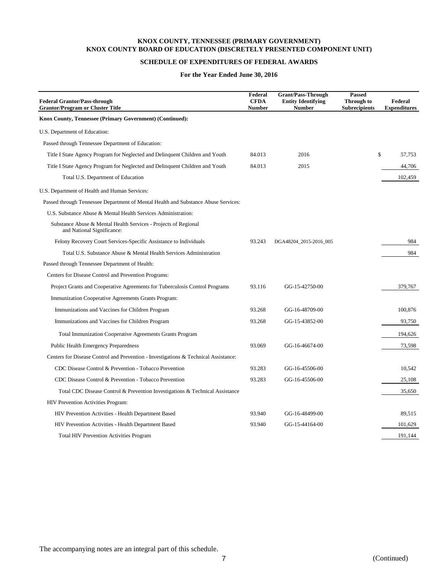# **SCHEDULE OF EXPENDITURES OF FEDERAL AWARDS**

## **For the Year Ended June 30, 2016**

| <b>Federal Grantor/Pass-through</b><br><b>Grantor/Program or Cluster Title</b>                | Federal<br><b>CFDA</b><br><b>Number</b> | <b>Grant/Pass-Through</b><br><b>Entity Identifying</b><br><b>Number</b> | <b>Passed</b><br>Through to<br><b>Subrecipients</b> | Federal<br><b>Expenditures</b> |
|-----------------------------------------------------------------------------------------------|-----------------------------------------|-------------------------------------------------------------------------|-----------------------------------------------------|--------------------------------|
| Knox County, Tennessee (Primary Government) (Continued):                                      |                                         |                                                                         |                                                     |                                |
| U.S. Department of Education:                                                                 |                                         |                                                                         |                                                     |                                |
| Passed through Tennessee Department of Education:                                             |                                         |                                                                         |                                                     |                                |
| Title I State Agency Program for Neglected and Delinquent Children and Youth                  | 84.013                                  | 2016                                                                    | \$                                                  | 57,753                         |
| Title I State Agency Program for Neglected and Delinquent Children and Youth                  | 84.013                                  | 2015                                                                    |                                                     | 44,706                         |
| Total U.S. Department of Education                                                            |                                         |                                                                         |                                                     | 102,459                        |
| U.S. Department of Health and Human Services:                                                 |                                         |                                                                         |                                                     |                                |
| Passed through Tennessee Department of Mental Health and Substance Abuse Services:            |                                         |                                                                         |                                                     |                                |
| U.S. Substance Abuse & Mental Health Services Administration:                                 |                                         |                                                                         |                                                     |                                |
| Substance Abuse & Mental Health Services - Projects of Regional<br>and National Significance: |                                         |                                                                         |                                                     |                                |
| Felony Recovery Court Services-Specific Assistance to Individuals                             | 93.243                                  | DGA48204_2015-2016_005                                                  |                                                     | 984                            |
| Total U.S. Substance Abuse & Mental Health Services Administration                            |                                         |                                                                         |                                                     | 984                            |
| Passed through Tennessee Department of Health:                                                |                                         |                                                                         |                                                     |                                |
| Centers for Disease Control and Prevention Programs:                                          |                                         |                                                                         |                                                     |                                |
| Project Grants and Cooperative Agreements for Tuberculosis Control Programs                   | 93.116                                  | GG-15-42750-00                                                          |                                                     | 379,767                        |
| Immunization Cooperative Agreements Grants Program:                                           |                                         |                                                                         |                                                     |                                |
| Immunizations and Vaccines for Children Program                                               | 93.268                                  | GG-16-48709-00                                                          |                                                     | 100,876                        |
| Immunizations and Vaccines for Children Program                                               | 93.268                                  | GG-15-43852-00                                                          |                                                     | 93,750                         |
| <b>Total Immunization Cooperative Agreements Grants Program</b>                               |                                         |                                                                         |                                                     | 194,626                        |
| <b>Public Health Emergency Preparedness</b>                                                   | 93.069                                  | GG-16-46674-00                                                          |                                                     | 73,598                         |
| Centers for Disease Control and Prevention - Investigations & Technical Assistance:           |                                         |                                                                         |                                                     |                                |
| CDC Disease Control & Prevention - Tobacco Prevention                                         | 93.283                                  | GG-16-45506-00                                                          |                                                     | 10,542                         |
| CDC Disease Control & Prevention - Tobacco Prevention                                         | 93.283                                  | GG-16-45506-00                                                          |                                                     | 25,108                         |
| Total CDC Disease Control & Prevention Investigations & Technical Assistance                  |                                         |                                                                         |                                                     | 35,650                         |
| HIV Prevention Activities Program:                                                            |                                         |                                                                         |                                                     |                                |
| HIV Prevention Activities - Health Department Based                                           | 93.940                                  | GG-16-48499-00                                                          |                                                     | 89,515                         |
| HIV Prevention Activities - Health Department Based                                           | 93.940                                  | GG-15-44164-00                                                          |                                                     | 101,629                        |
| <b>Total HIV Prevention Activities Program</b>                                                |                                         |                                                                         |                                                     | 191,144                        |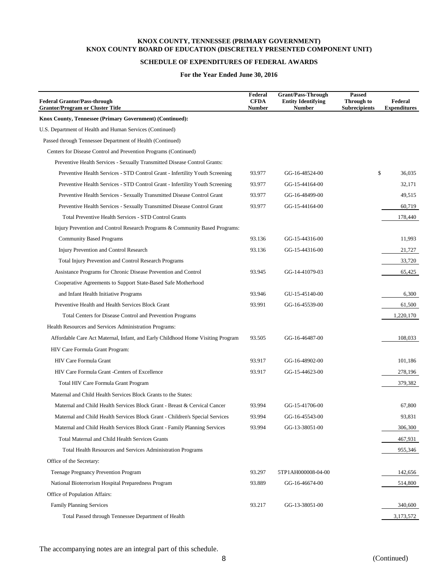# **SCHEDULE OF EXPENDITURES OF FEDERAL AWARDS**

## **For the Year Ended June 30, 2016**

| <b>Federal Grantor/Pass-through</b><br><b>Grantor/Program or Cluster Title</b>  | Federal<br><b>CFDA</b><br><b>Number</b> | <b>Grant/Pass-Through</b><br><b>Entity Identifying</b><br><b>Number</b> | Passed<br>Through to<br><b>Subrecipients</b> | Federal<br><b>Expenditures</b> |
|---------------------------------------------------------------------------------|-----------------------------------------|-------------------------------------------------------------------------|----------------------------------------------|--------------------------------|
| Knox County, Tennessee (Primary Government) (Continued):                        |                                         |                                                                         |                                              |                                |
| U.S. Department of Health and Human Services (Continued)                        |                                         |                                                                         |                                              |                                |
| Passed through Tennessee Department of Health (Continued)                       |                                         |                                                                         |                                              |                                |
| Centers for Disease Control and Prevention Programs (Continued)                 |                                         |                                                                         |                                              |                                |
| Preventive Health Services - Sexually Transmitted Disease Control Grants:       |                                         |                                                                         |                                              |                                |
| Preventive Health Services - STD Control Grant - Infertility Youth Screening    | 93.977                                  | GG-16-48524-00                                                          | \$                                           | 36,035                         |
| Preventive Health Services - STD Control Grant - Infertility Youth Screening    | 93.977                                  | GG-15-44164-00                                                          |                                              | 32,171                         |
| Preventive Health Services - Sexually Transmitted Disease Control Grant         | 93.977                                  | GG-16-48499-00                                                          |                                              | 49,515                         |
| Preventive Health Services - Sexually Transmitted Disease Control Grant         | 93.977                                  | GG-15-44164-00                                                          |                                              | 60,719                         |
| Total Preventive Health Services - STD Control Grants                           |                                         |                                                                         |                                              | 178,440                        |
| Injury Prevention and Control Research Programs & Community Based Programs:     |                                         |                                                                         |                                              |                                |
| <b>Community Based Programs</b>                                                 | 93.136                                  | GG-15-44316-00                                                          |                                              | 11,993                         |
| Injury Prevention and Control Research                                          | 93.136                                  | GG-15-44316-00                                                          |                                              | 21,727                         |
| Total Injury Prevention and Control Research Programs                           |                                         |                                                                         |                                              | 33,720                         |
| Assistance Programs for Chronic Disease Prevention and Control                  | 93.945                                  | GG-14-41079-03                                                          |                                              | 65,425                         |
| Cooperative Agreements to Support State-Based Safe Motherhood                   |                                         |                                                                         |                                              |                                |
| and Infant Health Initiative Programs                                           | 93.946                                  | GU-15-45140-00                                                          |                                              | 6,300                          |
| Preventive Health and Health Services Block Grant                               | 93.991                                  | GG-16-45539-00                                                          |                                              | 61,500                         |
| Total Centers for Disease Control and Prevention Programs                       |                                         |                                                                         |                                              | 1,220,170                      |
| Health Resources and Services Administration Programs:                          |                                         |                                                                         |                                              |                                |
| Affordable Care Act Maternal, Infant, and Early Childhood Home Visiting Program | 93.505                                  | GG-16-46487-00                                                          |                                              | 108,033                        |
| HIV Care Formula Grant Program:                                                 |                                         |                                                                         |                                              |                                |
| HIV Care Formula Grant                                                          | 93.917                                  | GG-16-48902-00                                                          |                                              | 101,186                        |
| HIV Care Formula Grant -Centers of Excellence                                   | 93.917                                  | GG-15-44623-00                                                          |                                              | 278,196                        |
| Total HIV Care Formula Grant Program                                            |                                         |                                                                         |                                              | 379,382                        |
| Maternal and Child Health Services Block Grants to the States:                  |                                         |                                                                         |                                              |                                |
| Maternal and Child Health Services Block Grant - Breast & Cervical Cancer       | 93.994                                  | GG-15-41706-00                                                          |                                              | 67,800                         |
| Maternal and Child Health Services Block Grant - Children's Special Services    | 93.994                                  | GG-16-45543-00                                                          |                                              | 93,831                         |
| Maternal and Child Health Services Block Grant - Family Planning Services       | 93.994                                  | GG-13-38051-00                                                          |                                              | 306,300                        |
| Total Maternal and Child Health Services Grants                                 |                                         |                                                                         |                                              | 467,931                        |
| Total Health Resources and Services Administration Programs                     |                                         |                                                                         |                                              | 955,346                        |
| Office of the Secretary:                                                        |                                         |                                                                         |                                              |                                |
| <b>Teenage Pregnancy Prevention Program</b>                                     | 93.297                                  | 5TP1AH000008-04-00                                                      |                                              | 142,656                        |
| National Bioterrorism Hospital Preparedness Program                             | 93.889                                  | GG-16-46674-00                                                          |                                              | 514,800                        |
| Office of Population Affairs:                                                   |                                         |                                                                         |                                              |                                |
| <b>Family Planning Services</b>                                                 | 93.217                                  | GG-13-38051-00                                                          |                                              | 340,600                        |
| Total Passed through Tennessee Department of Health                             |                                         |                                                                         |                                              | 3,173,572                      |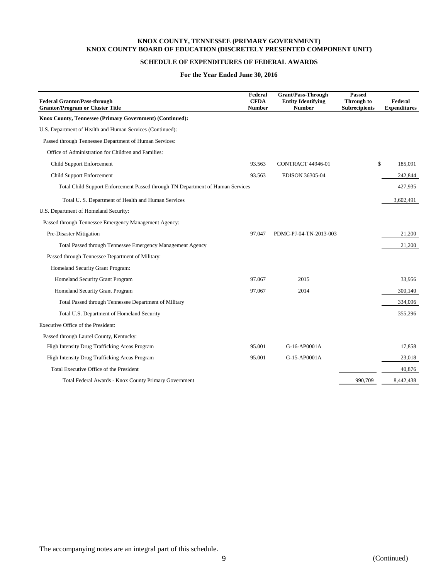## **SCHEDULE OF EXPENDITURES OF FEDERAL AWARDS**

#### **For the Year Ended June 30, 2016**

| <b>Federal Grantor/Pass-through</b><br><b>Grantor/Program or Cluster Title</b> | Federal<br><b>CFDA</b><br><b>Number</b> | <b>Grant/Pass-Through</b><br><b>Entity Identifying</b><br><b>Number</b> | <b>Passed</b><br>Through to<br><b>Subrecipients</b> | Federal<br><b>Expenditures</b> |
|--------------------------------------------------------------------------------|-----------------------------------------|-------------------------------------------------------------------------|-----------------------------------------------------|--------------------------------|
| Knox County, Tennessee (Primary Government) (Continued):                       |                                         |                                                                         |                                                     |                                |
| U.S. Department of Health and Human Services (Continued):                      |                                         |                                                                         |                                                     |                                |
| Passed through Tennessee Department of Human Services:                         |                                         |                                                                         |                                                     |                                |
| Office of Administration for Children and Families:                            |                                         |                                                                         |                                                     |                                |
| Child Support Enforcement                                                      | 93.563                                  | <b>CONTRACT 44946-01</b>                                                |                                                     | \$<br>185,091                  |
| <b>Child Support Enforcement</b>                                               | 93.563                                  | EDISON 36305-04                                                         |                                                     | 242,844                        |
| Total Child Support Enforcement Passed through TN Department of Human Services |                                         |                                                                         |                                                     | 427,935                        |
| Total U.S. Department of Health and Human Services                             |                                         |                                                                         |                                                     | 3,602,491                      |
| U.S. Department of Homeland Security:                                          |                                         |                                                                         |                                                     |                                |
| Passed through Tennessee Emergency Management Agency:                          |                                         |                                                                         |                                                     |                                |
| Pre-Disaster Mitigation                                                        | 97.047                                  | PDMC-PJ-04-TN-2013-003                                                  |                                                     | 21,200                         |
| Total Passed through Tennessee Emergency Management Agency                     |                                         |                                                                         |                                                     | 21,200                         |
| Passed through Tennessee Department of Military:                               |                                         |                                                                         |                                                     |                                |
| Homeland Security Grant Program:                                               |                                         |                                                                         |                                                     |                                |
| Homeland Security Grant Program                                                | 97.067                                  | 2015                                                                    |                                                     | 33,956                         |
| Homeland Security Grant Program                                                | 97.067                                  | 2014                                                                    |                                                     | 300,140                        |
| Total Passed through Tennessee Department of Military                          |                                         |                                                                         |                                                     | 334,096                        |
| Total U.S. Department of Homeland Security                                     |                                         |                                                                         |                                                     | 355,296                        |
| Executive Office of the President:                                             |                                         |                                                                         |                                                     |                                |
| Passed through Laurel County, Kentucky:                                        |                                         |                                                                         |                                                     |                                |
| High Intensity Drug Trafficking Areas Program                                  | 95.001                                  | G-16-AP0001A                                                            |                                                     | 17,858                         |
| High Intensity Drug Trafficking Areas Program                                  | 95.001                                  | G-15-AP0001A                                                            |                                                     | 23,018                         |
| Total Executive Office of the President                                        |                                         |                                                                         |                                                     | 40,876                         |
| Total Federal Awards - Knox County Primary Government                          |                                         |                                                                         | 990,709                                             | 8,442,438                      |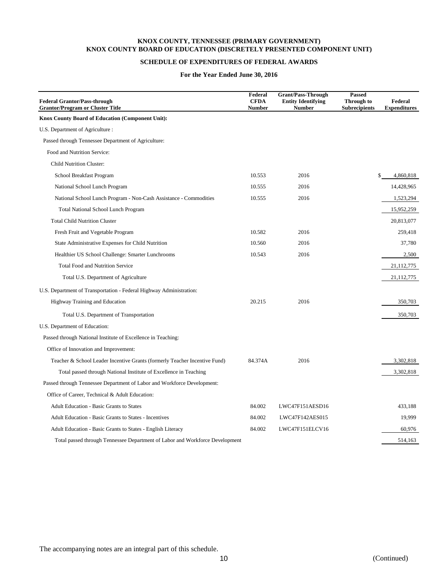# **SCHEDULE OF EXPENDITURES OF FEDERAL AWARDS**

#### **For the Year Ended June 30, 2016**

| <b>Federal Grantor/Pass-through</b><br><b>Grantor/Program or Cluster Title</b> | Federal<br><b>CFDA</b><br><b>Number</b> | <b>Grant/Pass-Through</b><br><b>Entity Identifying</b><br><b>Number</b> | <b>Passed</b><br>Through to<br><b>Subrecipients</b> | Federal<br><b>Expenditures</b> |
|--------------------------------------------------------------------------------|-----------------------------------------|-------------------------------------------------------------------------|-----------------------------------------------------|--------------------------------|
| <b>Knox County Board of Education (Component Unit):</b>                        |                                         |                                                                         |                                                     |                                |
| U.S. Department of Agriculture :                                               |                                         |                                                                         |                                                     |                                |
| Passed through Tennessee Department of Agriculture:                            |                                         |                                                                         |                                                     |                                |
| Food and Nutrition Service:                                                    |                                         |                                                                         |                                                     |                                |
| <b>Child Nutrition Cluster:</b>                                                |                                         |                                                                         |                                                     |                                |
| School Breakfast Program                                                       | 10.553                                  | 2016                                                                    | \$                                                  | 4,860,818                      |
| National School Lunch Program                                                  | 10.555                                  | 2016                                                                    |                                                     | 14,428,965                     |
| National School Lunch Program - Non-Cash Assistance - Commodities              | 10.555                                  | 2016                                                                    |                                                     | 1,523,294                      |
| <b>Total National School Lunch Program</b>                                     |                                         |                                                                         |                                                     | 15,952,259                     |
| <b>Total Child Nutrition Cluster</b>                                           |                                         |                                                                         |                                                     | 20,813,077                     |
| Fresh Fruit and Vegetable Program                                              | 10.582                                  | 2016                                                                    |                                                     | 259,418                        |
| State Administrative Expenses for Child Nutrition                              | 10.560                                  | 2016                                                                    |                                                     | 37,780                         |
| Healthier US School Challenge: Smarter Lunchrooms                              | 10.543                                  | 2016                                                                    |                                                     | 2,500                          |
| <b>Total Food and Nutrition Service</b>                                        |                                         |                                                                         |                                                     | 21,112,775                     |
| Total U.S. Department of Agriculture                                           |                                         |                                                                         |                                                     | 21,112,775                     |
| U.S. Department of Transportation - Federal Highway Administration:            |                                         |                                                                         |                                                     |                                |
| Highway Training and Education                                                 | 20.215                                  | 2016                                                                    |                                                     | 350,703                        |
| Total U.S. Department of Transportation                                        |                                         |                                                                         |                                                     | 350,703                        |
| U.S. Department of Education:                                                  |                                         |                                                                         |                                                     |                                |
| Passed through National Institute of Excellence in Teaching:                   |                                         |                                                                         |                                                     |                                |
| Office of Innovation and Improvement:                                          |                                         |                                                                         |                                                     |                                |
| Teacher & School Leader Incentive Grants (formerly Teacher Incentive Fund)     | 84.374A                                 | 2016                                                                    |                                                     | 3,302,818                      |
| Total passed through National Institute of Excellence in Teaching              |                                         |                                                                         |                                                     | 3,302,818                      |
| Passed through Tennessee Department of Labor and Workforce Development:        |                                         |                                                                         |                                                     |                                |
| Office of Career, Technical & Adult Education:                                 |                                         |                                                                         |                                                     |                                |
| <b>Adult Education - Basic Grants to States</b>                                | 84.002                                  | LWC47F151AESD16                                                         |                                                     | 433,188                        |
| <b>Adult Education - Basic Grants to States - Incentives</b>                   | 84.002                                  | LWC47F142AES015                                                         |                                                     | 19,999                         |
| <b>Adult Education - Basic Grants to States - English Literacy</b>             | 84.002                                  | LWC47F151ELCV16                                                         |                                                     | 60,976                         |
| Total passed through Tennessee Department of Labor and Workforce Development   |                                         |                                                                         |                                                     | 514,163                        |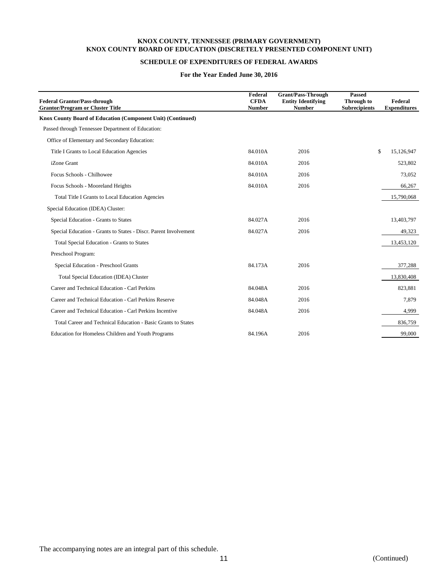# **SCHEDULE OF EXPENDITURES OF FEDERAL AWARDS**

### **For the Year Ended June 30, 2016**

| <b>Federal Grantor/Pass-through</b><br><b>Grantor/Program or Cluster Title</b> | Federal<br><b>CFDA</b><br><b>Number</b> | <b>Grant/Pass-Through</b><br><b>Entity Identifying</b><br><b>Number</b> | <b>Passed</b><br>Through to<br><b>Subrecipients</b> | Federal<br><b>Expenditures</b> |
|--------------------------------------------------------------------------------|-----------------------------------------|-------------------------------------------------------------------------|-----------------------------------------------------|--------------------------------|
| Knox County Board of Education (Component Unit) (Continued)                    |                                         |                                                                         |                                                     |                                |
| Passed through Tennessee Department of Education:                              |                                         |                                                                         |                                                     |                                |
| Office of Elementary and Secondary Education:                                  |                                         |                                                                         |                                                     |                                |
| Title I Grants to Local Education Agencies                                     | 84.010A                                 | 2016                                                                    | \$                                                  | 15,126,947                     |
| iZone Grant                                                                    | 84.010A                                 | 2016                                                                    |                                                     | 523,802                        |
| Focus Schools - Chilhowee                                                      | 84.010A                                 | 2016                                                                    |                                                     | 73,052                         |
| Focus Schools - Mooreland Heights                                              | 84.010A                                 | 2016                                                                    |                                                     | 66,267                         |
| <b>Total Title I Grants to Local Education Agencies</b>                        |                                         |                                                                         |                                                     | 15,790,068                     |
| Special Education (IDEA) Cluster:                                              |                                         |                                                                         |                                                     |                                |
| Special Education - Grants to States                                           | 84.027A                                 | 2016                                                                    |                                                     | 13,403,797                     |
| Special Education - Grants to States - Discr. Parent Involvement               | 84.027A                                 | 2016                                                                    |                                                     | 49,323                         |
| <b>Total Special Education - Grants to States</b>                              |                                         |                                                                         |                                                     | 13,453,120                     |
| Preschool Program:                                                             |                                         |                                                                         |                                                     |                                |
| Special Education - Preschool Grants                                           | 84.173A                                 | 2016                                                                    |                                                     | 377,288                        |
| Total Special Education (IDEA) Cluster                                         |                                         |                                                                         |                                                     | 13,830,408                     |
| Career and Technical Education - Carl Perkins                                  | 84.048A                                 | 2016                                                                    |                                                     | 823,881                        |
| Career and Technical Education - Carl Perkins Reserve                          | 84.048A                                 | 2016                                                                    |                                                     | 7,879                          |
| Career and Technical Education - Carl Perkins Incentive                        | 84.048A                                 | 2016                                                                    |                                                     | 4,999                          |
| Total Career and Technical Education - Basic Grants to States                  |                                         |                                                                         |                                                     | 836,759                        |
| Education for Homeless Children and Youth Programs                             | 84.196A                                 | 2016                                                                    |                                                     | 99,000                         |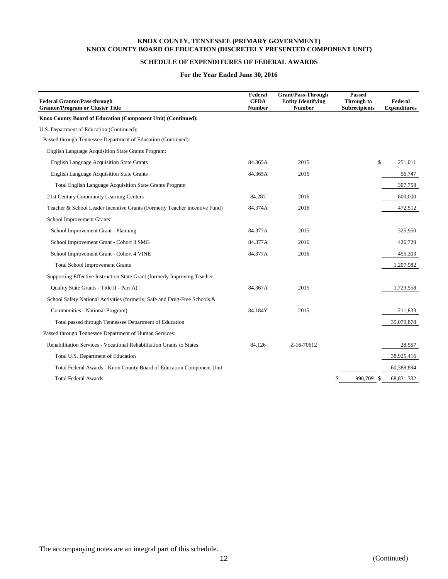## **SCHEDULE OF EXPENDITURES OF FEDERAL AWARDS**

### **For the Year Ended June 30, 2016**

| <b>Federal Grantor/Pass-through</b><br><b>Grantor/Program or Cluster Title</b> | Federal<br><b>CFDA</b><br><b>Number</b> | <b>Grant/Pass-Through</b><br><b>Entity Identifying</b><br><b>Number</b> | <b>Passed</b><br>Through to<br><b>Subrecipients</b> | Federal<br><b>Expenditures</b> |
|--------------------------------------------------------------------------------|-----------------------------------------|-------------------------------------------------------------------------|-----------------------------------------------------|--------------------------------|
| Knox County Board of Education (Component Unit) (Continued):                   |                                         |                                                                         |                                                     |                                |
| U.S. Department of Education (Continued):                                      |                                         |                                                                         |                                                     |                                |
| Passed through Tennessee Department of Education (Continued):                  |                                         |                                                                         |                                                     |                                |
| English Language Acquisition State Grants Program:                             |                                         |                                                                         |                                                     |                                |
| <b>English Language Acquisition State Grants</b>                               | 84.365A                                 | 2015                                                                    |                                                     | \$<br>251,011                  |
| <b>English Language Acquisition State Grants</b>                               | 84.365A                                 | 2015                                                                    |                                                     | 56,747                         |
| <b>Total English Language Acquisition State Grants Program</b>                 |                                         |                                                                         |                                                     | 307,758                        |
| 21st Century Community Learning Centers                                        | 84.287                                  | 2016                                                                    |                                                     | 600,000                        |
| Teacher & School Leader Incentive Grants (Formerly Teacher Incentive Fund)     | 84.374A                                 | 2016                                                                    |                                                     | 472,512                        |
| School Improvement Grants:                                                     |                                         |                                                                         |                                                     |                                |
| School Improvement Grant - Planning                                            | 84.377A                                 | 2015                                                                    |                                                     | 325,950                        |
| School Improvement Grant - Cohort 3 SMG                                        | 84.377A                                 | 2016                                                                    |                                                     | 426,729                        |
| School Improvement Grant - Cohort 4 VINE                                       | 84.377A                                 | 2016                                                                    |                                                     | 455,303                        |
| <b>Total School Improvement Grants</b>                                         |                                         |                                                                         |                                                     | 1,207,982                      |
| Supporting Effective Instruction State Grant (formerly Improving Teacher       |                                         |                                                                         |                                                     |                                |
| Quality State Grants - Title II - Part A)                                      | 84.367A                                 | 2015                                                                    |                                                     | 1,723,558                      |
| School Safety National Activities (formerly, Safe and Drug-Free Schools &      |                                         |                                                                         |                                                     |                                |
| Communities - National Program)                                                | 84.184Y                                 | 2015                                                                    |                                                     | 211,833                        |
| Total passed through Tennessee Department of Education                         |                                         |                                                                         |                                                     | 35,079,878                     |
| Passed through Tennessee Department of Human Services:                         |                                         |                                                                         |                                                     |                                |
| Rehabilitation Services - Vocational Rehabilitation Grants to States           | 84.126                                  | Z-16-70612                                                              |                                                     | 28,557                         |
| Total U.S. Department of Education                                             |                                         |                                                                         |                                                     | 38,925,416                     |
| Total Federal Awards - Knox County Board of Education Component Unit           |                                         |                                                                         |                                                     | 60,388,894                     |
| <b>Total Federal Awards</b>                                                    |                                         |                                                                         | \$<br>990,709<br>S                                  | 68,831,332                     |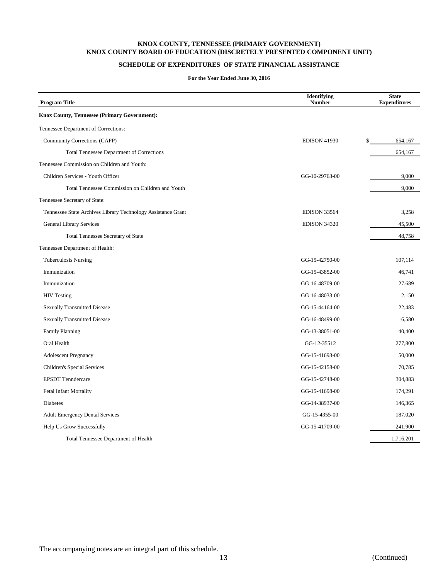# **SCHEDULE OF EXPENDITURES OF STATE FINANCIAL ASSISTANCE**

**For the Year Ended June 30, 2016**

| <b>Program Title</b>                                         | <b>Identifying</b><br><b>Number</b> | <b>State</b><br><b>Expenditures</b> |
|--------------------------------------------------------------|-------------------------------------|-------------------------------------|
| <b>Knox County, Tennessee (Primary Government):</b>          |                                     |                                     |
| Tennessee Department of Corrections:                         |                                     |                                     |
| Community Corrections (CAPP)                                 | <b>EDISON 41930</b>                 | \$<br>654,167                       |
| <b>Total Tennessee Department of Corrections</b>             |                                     | 654,167                             |
| Tennessee Commission on Children and Youth:                  |                                     |                                     |
| Children Services - Youth Officer                            | GG-10-29763-00                      | 9,000                               |
| Total Tennessee Commission on Children and Youth             |                                     | 9,000                               |
| Tennessee Secretary of State:                                |                                     |                                     |
| Tennessee State Archives Library Technology Assistance Grant | <b>EDISON 33564</b>                 | 3,258                               |
| <b>General Library Services</b>                              | <b>EDISON 34320</b>                 | 45,500                              |
| Total Tennessee Secretary of State                           |                                     | 48,758                              |
| Tennessee Department of Health:                              |                                     |                                     |
| <b>Tuberculosis Nursing</b>                                  | GG-15-42750-00                      | 107,114                             |
| Immunization                                                 | GG-15-43852-00                      | 46,741                              |
| Immunization                                                 | GG-16-48709-00                      | 27,689                              |
| <b>HIV Testing</b>                                           | GG-16-48033-00                      | 2,150                               |
| <b>Sexually Transmitted Disease</b>                          | GG-15-44164-00                      | 22,483                              |
| <b>Sexually Transmitted Disease</b>                          | GG-16-48499-00                      | 16,580                              |
| <b>Family Planning</b>                                       | GG-13-38051-00                      | 40,400                              |
| Oral Health                                                  | GG-12-35512                         | 277,800                             |
| <b>Adolescent Pregnancy</b>                                  | GG-15-41693-00                      | 50,000                              |
| Children's Special Services                                  | GG-15-42158-00                      | 70,785                              |
| <b>EPSDT</b> Tenndercare                                     | GG-15-42748-00                      | 304,883                             |
| <b>Fetal Infant Mortality</b>                                | GG-15-41698-00                      | 174,291                             |
| <b>Diabetes</b>                                              | GG-14-38937-00                      | 146,365                             |
| <b>Adult Emergency Dental Services</b>                       | GG-15-4355-00                       | 187,020                             |
| Help Us Grow Successfully                                    | GG-15-41709-00                      | 241,900                             |
| <b>Total Tennessee Department of Health</b>                  |                                     | 1,716,201                           |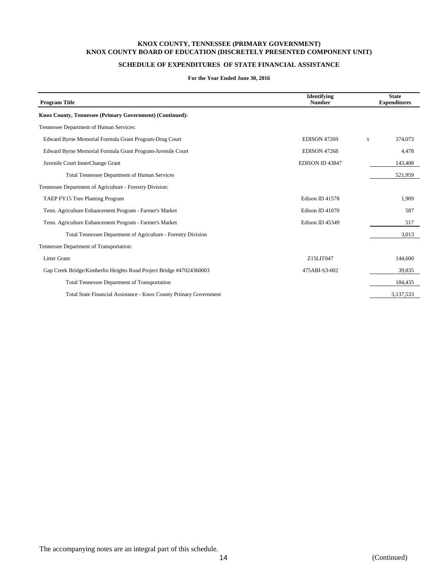# **SCHEDULE OF EXPENDITURES OF STATE FINANCIAL ASSISTANCE**

## **For the Year Ended June 30, 2016**

| <b>Program Title</b>                                                | <b>Identifying</b><br><b>Number</b> | <b>State</b><br><b>Expenditures</b> |
|---------------------------------------------------------------------|-------------------------------------|-------------------------------------|
| Knox County, Tennessee (Primary Government) (Continued):            |                                     |                                     |
| Tennessee Department of Human Services:                             |                                     |                                     |
| Edward Byrne Memorial Formula Grant Program-Drug Court              | <b>EDISON 47269</b>                 | \$<br>374,073                       |
| Edward Byrne Memorial Formula Grant Program-Juvenile Court          | <b>EDISON 47268</b>                 | 4,478                               |
| Juvenile Court InnerChange Grant                                    | EDISON ID 43847                     | 143,408                             |
| <b>Total Tennessee Department of Human Services</b>                 |                                     | 521,959                             |
| Tennessee Department of Agriculture - Forestry Division:            |                                     |                                     |
| TAEP FY15 Tree Planting Program                                     | Edison ID 41578                     | 1,909                               |
| Tenn. Agriculture Enhancement Program - Farmer's Market             | Edison ID 41070                     | 587                                 |
| Tenn. Agriculture Enhancement Program - Farmer's Market             | Edison ID 45349                     | 517                                 |
| Total Tennessee Department of Agriculture - Forestry Division       |                                     | 3,013                               |
| Tennessee Department of Transportation:                             |                                     |                                     |
| <b>Litter Grant</b>                                                 | Z15LIT047                           | 144,600                             |
| Gap Creek Bridge/Kimberlin Heights Road Project Bridge #47024360003 | 475ABI-S3-002                       | 39,835                              |
| <b>Total Tennessee Department of Transportation</b>                 |                                     | 184,435                             |
| Total State Financial Assistance - Knox County Primary Government   |                                     | 3,137,533                           |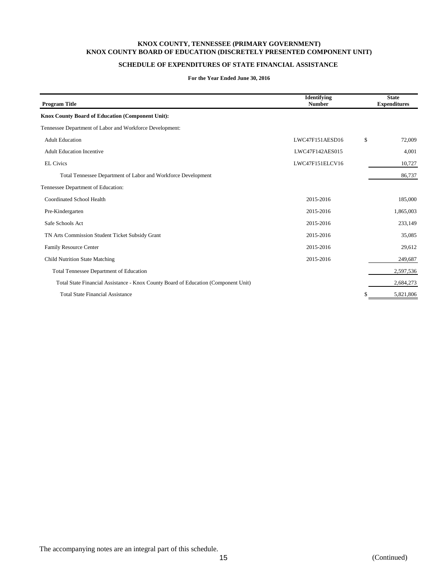# **SCHEDULE OF EXPENDITURES OF STATE FINANCIAL ASSISTANCE**

#### **For the Year Ended June 30, 2016**

| <b>Program Title</b>                                                               | Identifying<br><b>Number</b> | <b>State</b><br><b>Expenditures</b> |
|------------------------------------------------------------------------------------|------------------------------|-------------------------------------|
| <b>Knox County Board of Education (Component Unit):</b>                            |                              |                                     |
| Tennessee Department of Labor and Workforce Development:                           |                              |                                     |
| <b>Adult Education</b>                                                             | LWC47F151AESD16              | \$<br>72,009                        |
| <b>Adult Education Incentive</b>                                                   | LWC47F142AES015              | 4,001                               |
| <b>EL Civics</b>                                                                   | LWC47F151ELCV16              | 10,727                              |
| Total Tennessee Department of Labor and Workforce Development                      |                              | 86,737                              |
| Tennessee Department of Education:                                                 |                              |                                     |
| Coordinated School Health                                                          | 2015-2016                    | 185,000                             |
| Pre-Kindergarten                                                                   | 2015-2016                    | 1,865,003                           |
| Safe Schools Act                                                                   | 2015-2016                    | 233,149                             |
| TN Arts Commission Student Ticket Subsidy Grant                                    | 2015-2016                    | 35,085                              |
| <b>Family Resource Center</b>                                                      | 2015-2016                    | 29,612                              |
| Child Nutrition State Matching                                                     | 2015-2016                    | 249,687                             |
| <b>Total Tennessee Department of Education</b>                                     |                              | 2,597,536                           |
| Total State Financial Assistance - Knox County Board of Education (Component Unit) |                              | 2,684,273                           |
| <b>Total State Financial Assistance</b>                                            |                              | 5,821,806                           |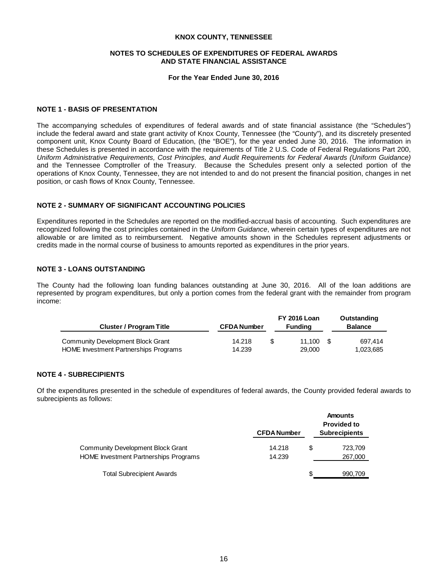## **NOTES TO SCHEDULES OF EXPENDITURES OF FEDERAL AWARDS AND STATE FINANCIAL ASSISTANCE**

#### **For the Year Ended June 30, 2016**

## **NOTE 1 - BASIS OF PRESENTATION**

The accompanying schedules of expenditures of federal awards and of state financial assistance (the "Schedules") include the federal award and state grant activity of Knox County, Tennessee (the "County"), and its discretely presented component unit, Knox County Board of Education, (the "BOE"), for the year ended June 30, 2016. The information in these Schedules is presented in accordance with the requirements of Title 2 U.S. Code of Federal Regulations Part 200, *Uniform Administrative Requirements, Cost Principles, and Audit Requirements for Federal Awards (Uniform Guidance)* and the Tennessee Comptroller of the Treasury. Because the Schedules present only a selected portion of the operations of Knox County, Tennessee, they are not intended to and do not present the financial position, changes in net position, or cash flows of Knox County, Tennessee.

# **NOTE 2 - SUMMARY OF SIGNIFICANT ACCOUNTING POLICIES**

Expenditures reported in the Schedules are reported on the modified-accrual basis of accounting. Such expenditures are recognized following the cost principles contained in the *Uniform Guidance*, wherein certain types of expenditures are not allowable or are limited as to reimbursement. Negative amounts shown in the Schedules represent adjustments or credits made in the normal course of business to amounts reported as expenditures in the prior years.

## **NOTE 3 - LOANS OUTSTANDING**

The County had the following loan funding balances outstanding at June 30, 2016. All of the loan additions are represented by program expenditures, but only a portion comes from the federal grant with the remainder from program income:

| <b>Cluster / Program Title</b>           | <b>CFDA Number</b> | <b>FY 2016 Loan</b><br><b>Funding</b> |      | Outstanding<br><b>Balance</b> |  |
|------------------------------------------|--------------------|---------------------------------------|------|-------------------------------|--|
| <b>Community Development Block Grant</b> | 14.218             | 11.100                                | - \$ | 697.414                       |  |
| HOME Investment Partnerships Programs    | 14.239             | 29,000                                |      | 1.023.685                     |  |

## **NOTE 4 - SUBRECIPIENTS**

Of the expenditures presented in the schedule of expenditures of federal awards, the County provided federal awards to subrecipients as follows:

|                                          | <b>CFDA Number</b> |   | Amounts<br><b>Provided to</b><br><b>Subrecipients</b> |
|------------------------------------------|--------------------|---|-------------------------------------------------------|
| <b>Community Development Block Grant</b> | 14.218             | S | 723,709                                               |
| HOME Investment Partnerships Programs    | 14.239             |   | 267,000                                               |
| <b>Total Subrecipient Awards</b>         |                    |   | 990.709                                               |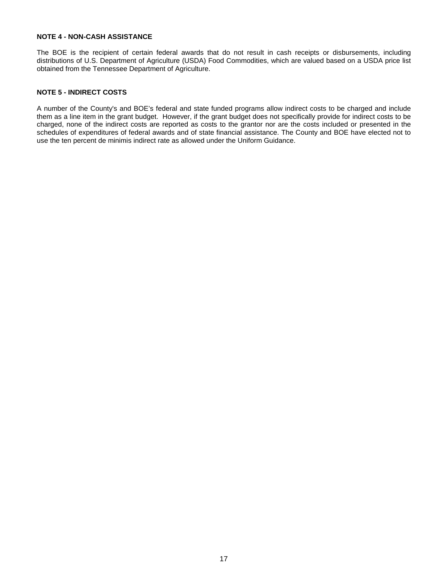## **NOTE 4 - NON-CASH ASSISTANCE**

The BOE is the recipient of certain federal awards that do not result in cash receipts or disbursements, including distributions of U.S. Department of Agriculture (USDA) Food Commodities, which are valued based on a USDA price list obtained from the Tennessee Department of Agriculture.

# **NOTE 5 - INDIRECT COSTS**

A number of the County's and BOE's federal and state funded programs allow indirect costs to be charged and include them as a line item in the grant budget. However, if the grant budget does not specifically provide for indirect costs to be charged, none of the indirect costs are reported as costs to the grantor nor are the costs included or presented in the schedules of expenditures of federal awards and of state financial assistance. The County and BOE have elected not to use the ten percent de minimis indirect rate as allowed under the Uniform Guidance.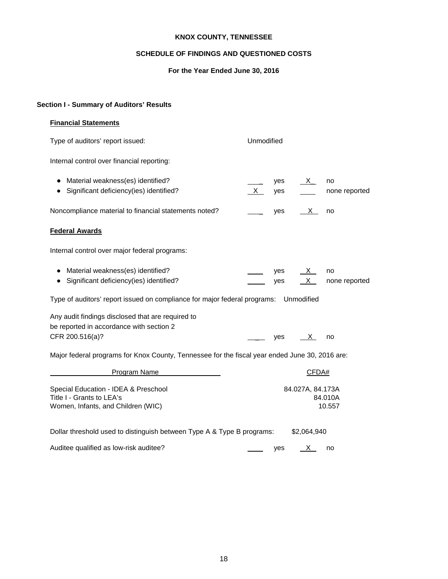## **SCHEDULE OF FINDINGS AND QUESTIONED COSTS**

## **For the Year Ended June 30, 2016**

# **Section I - Summary of Auditors' Results**

## **Financial Statements**

Type of auditors' report issued: Unmodified Internal control over financial reporting: ● Material weakness(es) identified? 
■ yes X\_ no ● Significant deficiency(ies) identified? X yes none reported Noncompliance material to financial statements noted?  $\qquad \qquad \qquad \qquad$  yes  $\qquad \times \qquad$  no **Federal Awards** Internal control over major federal programs: ● Material weakness(es) identified? yes X no • Significant deficiency(ies) identified?  $\overline{\phantom{a}}$  yes  $\overline{X}$  none reported Type of auditors' report issued on compliance for major federal programs: Unmodified Any audit findings disclosed that are required to be reported in accordance with section 2  $CFR\ 200.516(a)?$  yes  $X$  no Major federal programs for Knox County, Tennessee for the fiscal year ended June 30, 2016 are: Program Name CFDA# Special Education - IDEA & Preschool 84.027A, 84.173A Title I - Grants to LEA's 84.010A<br>
Women. Infants. and Children (WIC) 84.010A Women, Infants, and Children (WIC)

| Dollar threshold used to distinguish between Type A & Type B programs: |     | \$2.064.940 |    |  |
|------------------------------------------------------------------------|-----|-------------|----|--|
| Auditee qualified as low-risk auditee?                                 | ves |             | no |  |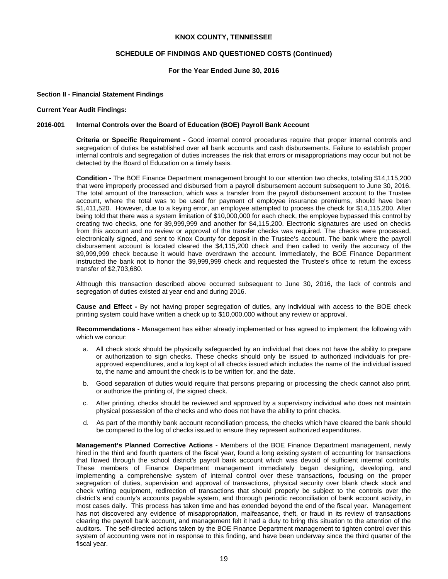#### **SCHEDULE OF FINDINGS AND QUESTIONED COSTS (Continued)**

#### **For the Year Ended June 30, 2016**

#### **Section II - Financial Statement Findings**

#### **Current Year Audit Findings:**

#### **2016-001 Internal Controls over the Board of Education (BOE) Payroll Bank Account**

**Criteria or Specific Requirement -** Good internal control procedures require that proper internal controls and segregation of duties be established over all bank accounts and cash disbursements. Failure to establish proper internal controls and segregation of duties increases the risk that errors or misappropriations may occur but not be detected by the Board of Education on a timely basis.

**Condition -** The BOE Finance Department management brought to our attention two checks, totaling \$14,115,200 that were improperly processed and disbursed from a payroll disbursement account subsequent to June 30, 2016. The total amount of the transaction, which was a transfer from the payroll disbursement account to the Trustee account, where the total was to be used for payment of employee insurance premiums, should have been \$1,411,520. However, due to a keying error, an employee attempted to process the check for \$14,115,200. After being told that there was a system limitation of \$10,000,000 for each check, the employee bypassed this control by creating two checks, one for \$9,999,999 and another for \$4,115,200. Electronic signatures are used on checks from this account and no review or approval of the transfer checks was required. The checks were processed, electronically signed, and sent to Knox County for deposit in the Trustee's account. The bank where the payroll disbursement account is located cleared the \$4,115,200 check and then called to verify the accuracy of the \$9,999,999 check because it would have overdrawn the account. Immediately, the BOE Finance Department instructed the bank not to honor the \$9,999,999 check and requested the Trustee's office to return the excess transfer of \$2,703,680.

Although this transaction described above occurred subsequent to June 30, 2016, the lack of controls and segregation of duties existed at year end and during 2016.

**Cause and Effect -** By not having proper segregation of duties, any individual with access to the BOE check printing system could have written a check up to \$10,000,000 without any review or approval.

**Recommendations -** Management has either already implemented or has agreed to implement the following with which we concur:

- a. All check stock should be physically safeguarded by an individual that does not have the ability to prepare or authorization to sign checks. These checks should only be issued to authorized individuals for preapproved expenditures, and a log kept of all checks issued which includes the name of the individual issued to, the name and amount the check is to be written for, and the date.
- b. Good separation of duties would require that persons preparing or processing the check cannot also print, or authorize the printing of, the signed check.
- c. After printing, checks should be reviewed and approved by a supervisory individual who does not maintain physical possession of the checks and who does not have the ability to print checks.
- d. As part of the monthly bank account reconciliation process, the checks which have cleared the bank should be compared to the log of checks issued to ensure they represent authorized expenditures.

**Management's Planned Corrective Actions -** Members of the BOE Finance Department management, newly hired in the third and fourth quarters of the fiscal year, found a long existing system of accounting for transactions that flowed through the school district's payroll bank account which was devoid of sufficient internal controls. These members of Finance Department management immediately began designing, developing, and implementing a comprehensive system of internal control over these transactions, focusing on the proper segregation of duties, supervision and approval of transactions, physical security over blank check stock and check writing equipment, redirection of transactions that should properly be subject to the controls over the district's and county's accounts payable system, and thorough periodic reconciliation of bank account activity, in most cases daily. This process has taken time and has extended beyond the end of the fiscal year. Management has not discovered any evidence of misappropriation, malfeasance, theft, or fraud in its review of transactions clearing the payroll bank account, and management felt it had a duty to bring this situation to the attention of the auditors. The self-directed actions taken by the BOE Finance Department management to tighten control over this system of accounting were not in response to this finding, and have been underway since the third quarter of the fiscal year.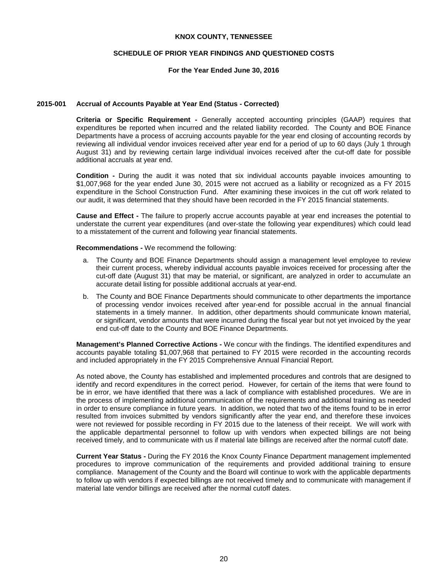## **SCHEDULE OF PRIOR YEAR FINDINGS AND QUESTIONED COSTS**

### **For the Year Ended June 30, 2016**

#### **2015-001 Accrual of Accounts Payable at Year End (Status - Corrected)**

**Criteria or Specific Requirement -** Generally accepted accounting principles (GAAP) requires that expenditures be reported when incurred and the related liability recorded. The County and BOE Finance Departments have a process of accruing accounts payable for the year end closing of accounting records by reviewing all individual vendor invoices received after year end for a period of up to 60 days (July 1 through August 31) and by reviewing certain large individual invoices received after the cut-off date for possible additional accruals at year end.

**Condition -** During the audit it was noted that six individual accounts payable invoices amounting to \$1,007,968 for the year ended June 30, 2015 were not accrued as a liability or recognized as a FY 2015 expenditure in the School Construction Fund. After examining these invoices in the cut off work related to our audit, it was determined that they should have been recorded in the FY 2015 financial statements.

**Cause and Effect -** The failure to properly accrue accounts payable at year end increases the potential to understate the current year expenditures (and over-state the following year expenditures) which could lead to a misstatement of the current and following year financial statements.

#### **Recommendations -** We recommend the following:

- a. The County and BOE Finance Departments should assign a management level employee to review their current process, whereby individual accounts payable invoices received for processing after the cut-off date (August 31) that may be material, or significant, are analyzed in order to accumulate an accurate detail listing for possible additional accruals at year-end.
- b. The County and BOE Finance Departments should communicate to other departments the importance of processing vendor invoices received after year-end for possible accrual in the annual financial statements in a timely manner. In addition, other departments should communicate known material, or significant, vendor amounts that were incurred during the fiscal year but not yet invoiced by the year end cut-off date to the County and BOE Finance Departments.

**Management's Planned Corrective Actions -** We concur with the findings. The identified expenditures and accounts payable totaling \$1,007,968 that pertained to FY 2015 were recorded in the accounting records and included appropriately in the FY 2015 Comprehensive Annual Financial Report.

As noted above, the County has established and implemented procedures and controls that are designed to identify and record expenditures in the correct period. However, for certain of the items that were found to be in error, we have identified that there was a lack of compliance with established procedures. We are in the process of implementing additional communication of the requirements and additional training as needed in order to ensure compliance in future years. In addition, we noted that two of the items found to be in error resulted from invoices submitted by vendors significantly after the year end, and therefore these invoices were not reviewed for possible recording in FY 2015 due to the lateness of their receipt. We will work with the applicable departmental personnel to follow up with vendors when expected billings are not being received timely, and to communicate with us if material late billings are received after the normal cutoff date.

**Current Year Status -** During the FY 2016 the Knox County Finance Department management implemented procedures to improve communication of the requirements and provided additional training to ensure compliance. Management of the County and the Board will continue to work with the applicable departments to follow up with vendors if expected billings are not received timely and to communicate with management if material late vendor billings are received after the normal cutoff dates.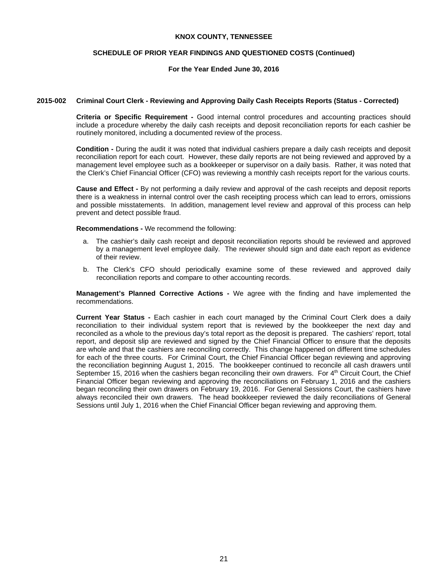## **SCHEDULE OF PRIOR YEAR FINDINGS AND QUESTIONED COSTS (Continued)**

## **For the Year Ended June 30, 2016**

### **2015-002 Criminal Court Clerk - Reviewing and Approving Daily Cash Receipts Reports (Status - Corrected)**

**Criteria or Specific Requirement -** Good internal control procedures and accounting practices should include a procedure whereby the daily cash receipts and deposit reconciliation reports for each cashier be routinely monitored, including a documented review of the process.

**Condition -** During the audit it was noted that individual cashiers prepare a daily cash receipts and deposit reconciliation report for each court. However, these daily reports are not being reviewed and approved by a management level employee such as a bookkeeper or supervisor on a daily basis. Rather, it was noted that the Clerk's Chief Financial Officer (CFO) was reviewing a monthly cash receipts report for the various courts.

**Cause and Effect -** By not performing a daily review and approval of the cash receipts and deposit reports there is a weakness in internal control over the cash receipting process which can lead to errors, omissions and possible misstatements. In addition, management level review and approval of this process can help prevent and detect possible fraud.

**Recommendations -** We recommend the following:

- a. The cashier's daily cash receipt and deposit reconciliation reports should be reviewed and approved by a management level employee daily. The reviewer should sign and date each report as evidence of their review.
- b. The Clerk's CFO should periodically examine some of these reviewed and approved daily reconciliation reports and compare to other accounting records.

**Management's Planned Corrective Actions -** We agree with the finding and have implemented the recommendations.

**Current Year Status -** Each cashier in each court managed by the Criminal Court Clerk does a daily reconciliation to their individual system report that is reviewed by the bookkeeper the next day and reconciled as a whole to the previous day's total report as the deposit is prepared. The cashiers' report, total report, and deposit slip are reviewed and signed by the Chief Financial Officer to ensure that the deposits are whole and that the cashiers are reconciling correctly. This change happened on different time schedules for each of the three courts. For Criminal Court, the Chief Financial Officer began reviewing and approving the reconciliation beginning August 1, 2015. The bookkeeper continued to reconcile all cash drawers until September 15, 2016 when the cashiers began reconciling their own drawers. For 4<sup>th</sup> Circuit Court, the Chief Financial Officer began reviewing and approving the reconciliations on February 1, 2016 and the cashiers began reconciling their own drawers on February 19, 2016. For General Sessions Court, the cashiers have always reconciled their own drawers. The head bookkeeper reviewed the daily reconciliations of General Sessions until July 1, 2016 when the Chief Financial Officer began reviewing and approving them.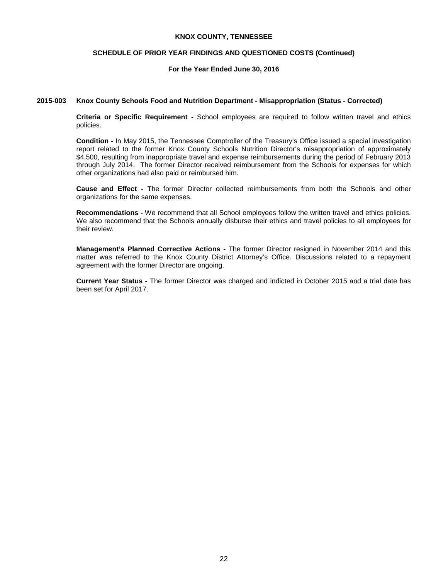### **SCHEDULE OF PRIOR YEAR FINDINGS AND QUESTIONED COSTS (Continued)**

## **For the Year Ended June 30, 2016**

### **2015-003 Knox County Schools Food and Nutrition Department - Misappropriation (Status - Corrected)**

**Criteria or Specific Requirement -** School employees are required to follow written travel and ethics policies.

**Condition -** In May 2015, the Tennessee Comptroller of the Treasury's Office issued a special investigation report related to the former Knox County Schools Nutrition Director's misappropriation of approximately \$4,500, resulting from inappropriate travel and expense reimbursements during the period of February 2013 through July 2014. The former Director received reimbursement from the Schools for expenses for which other organizations had also paid or reimbursed him.

**Cause and Effect -** The former Director collected reimbursements from both the Schools and other organizations for the same expenses.

**Recommendations -** We recommend that all School employees follow the written travel and ethics policies. We also recommend that the Schools annually disburse their ethics and travel policies to all employees for their review.

**Management's Planned Corrective Actions -** The former Director resigned in November 2014 and this matter was referred to the Knox County District Attorney's Office. Discussions related to a repayment agreement with the former Director are ongoing.

**Current Year Status -** The former Director was charged and indicted in October 2015 and a trial date has been set for April 2017.